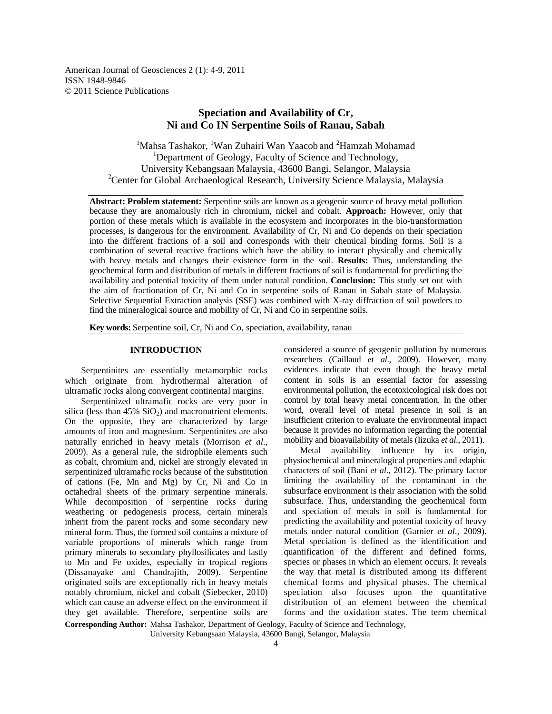American Journal of Geosciences 2 (1): 4-9, 2011 ISSN 1948-9846 © 2011 Science Publications

# **Speciation and Availability of Cr, Ni and Co IN Serpentine Soils of Ranau, Sabah**

 $1$ Mahsa Tashakor,  $1$ Wan Zuhairi Wan Yaacob and  $2$ Hamzah Mohamad <sup>1</sup>Department of Geology, Faculty of Science and Technology, University Kebangsaan Malaysia, 43600 Bangi, Selangor, Malaysia <sup>2</sup>Center for Global Archaeological Research, University Science Malaysia, Malaysia

**Abstract: Problem statement:** Serpentine soils are known as a geogenic source of heavy metal pollution because they are anomalously rich in chromium, nickel and cobalt. **Approach:** However, only that portion of these metals which is available in the ecosystem and incorporates in the bio-transformation processes, is dangerous for the environment. Availability of Cr, Ni and Co depends on their speciation into the different fractions of a soil and corresponds with their chemical binding forms. Soil is a combination of several reactive fractions which have the ability to interact physically and chemically with heavy metals and changes their existence form in the soil. **Results:** Thus, understanding the geochemical form and distribution of metals in different fractions of soil is fundamental for predicting the availability and potential toxicity of them under natural condition. **Conclusion:** This study set out with the aim of fractionation of Cr, Ni and Co in serpentine soils of Ranau in Sabah state of Malaysia. Selective Sequential Extraction analysis (SSE) was combined with X-ray diffraction of soil powders to find the mineralogical source and mobility of Cr, Ni and Co in serpentine soils.

**Key words:** Serpentine soil, Cr, Ni and Co, speciation, availability, ranau

#### **INTRODUCTION**

 Serpentinites are essentially metamorphic rocks which originate from hydrothermal alteration of ultramafic rocks along convergent continental margins.

 Serpentinized ultramafic rocks are very poor in silica (less than  $45\%$  SiO<sub>2</sub>) and macronutrient elements. On the opposite, they are characterized by large amounts of iron and magnesium. Serpentinites are also naturally enriched in heavy metals (Morrison *et al*., 2009). As a general rule, the sidrophile elements such as cobalt, chromium and, nickel are strongly elevated in serpentinized ultramafic rocks because of the substitution of cations (Fe, Mn and Mg) by Cr, Ni and Co in octahedral sheets of the primary serpentine minerals. While decomposition of serpentine rocks during weathering or pedogenesis process, certain minerals inherit from the parent rocks and some secondary new mineral form. Thus, the formed soil contains a mixture of variable proportions of minerals which range from primary minerals to secondary phyllosilicates and lastly to Mn and Fe oxides, especially in tropical regions (Dissanayake and Chandrajith, 2009). Serpentine originated soils are exceptionally rich in heavy metals notably chromium, nickel and cobalt (Siebecker, 2010) which can cause an adverse effect on the environment if they get available. Therefore, serpentine soils are

considered a source of geogenic pollution by numerous researchers (Caillaud *et al*., 2009). However, many evidences indicate that even though the heavy metal content in soils is an essential factor for assessing environmental pollution, the ecotoxicological risk does not control by total heavy metal concentration. In the other word, overall level of metal presence in soil is an insufficient criterion to evaluate the environmental impact because it provides no information regarding the potential mobility and bioavailability of metals (Iizuka *et al*., 2011).

 Metal availability influence by its origin, physiochemical and mineralogical properties and edaphic characters of soil (Bani *et al*., 2012). The primary factor limiting the availability of the contaminant in the subsurface environment is their association with the solid subsurface. Thus, understanding the geochemical form and speciation of metals in soil is fundamental for predicting the availability and potential toxicity of heavy metals under natural condition (Garnier *et al*., 2009). Metal speciation is defined as the identification and quantification of the different and defined forms, species or phases in which an element occurs. It reveals the way that metal is distributed among its different chemical forms and physical phases. The chemical speciation also focuses upon the quantitative distribution of an element between the chemical forms and the oxidation states. The term chemical

**Corresponding Author:** Mahsa Tashakor, Department of Geology, Faculty of Science and Technology, University Kebangsaan Malaysia, 43600 Bangi, Selangor, Malaysia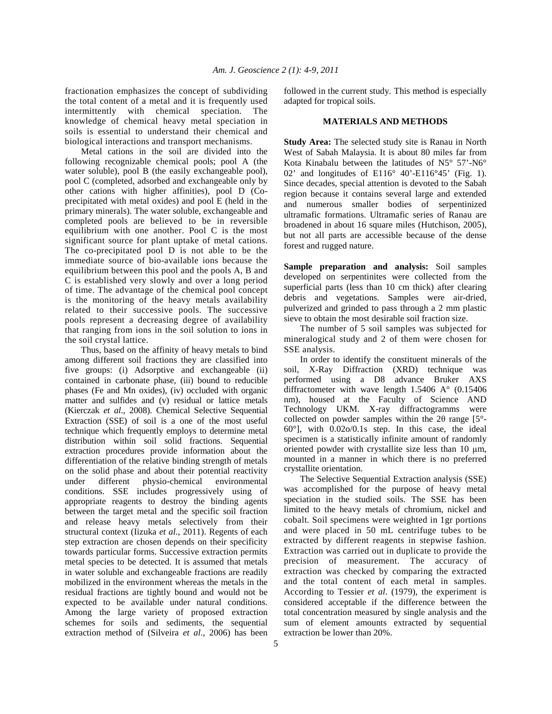fractionation emphasizes the concept of subdividing the total content of a metal and it is frequently used intermittently with chemical speciation. The knowledge of chemical heavy metal speciation in soils is essential to understand their chemical and biological interactions and transport mechanisms.

 Metal cations in the soil are divided into the following recognizable chemical pools; pool A (the water soluble), pool B (the easily exchangeable pool), pool C (completed, adsorbed and exchangeable only by other cations with higher affinities), pool D (Coprecipitated with metal oxides) and pool E (held in the primary minerals). The water soluble, exchangeable and completed pools are believed to be in reversible equilibrium with one another. Pool C is the most significant source for plant uptake of metal cations. The co-precipitated pool D is not able to be the immediate source of bio-available ions because the equilibrium between this pool and the pools A, B and C is established very slowly and over a long period of time. The advantage of the chemical pool concept is the monitoring of the heavy metals availability related to their successive pools. The successive pools represent a decreasing degree of availability that ranging from ions in the soil solution to ions in the soil crystal lattice.

 Thus, based on the affinity of heavy metals to bind among different soil fractions they are classified into five groups: (i) Adsorptive and exchangeable (ii) contained in carbonate phase, (iii) bound to reducible phases (Fe and Mn oxides), (iv) occluded with organic matter and sulfides and (v) residual or lattice metals (Kierczak *et al*., 2008). Chemical Selective Sequential Extraction (SSE) of soil is a one of the most useful technique which frequently employs to determine metal distribution within soil solid fractions. Sequential extraction procedures provide information about the differentiation of the relative binding strength of metals on the solid phase and about their potential reactivity under different physio-chemical environmental conditions. SSE includes progressively using of appropriate reagents to destroy the binding agents between the target metal and the specific soil fraction and release heavy metals selectively from their structural context (Iizuka *et al*., 2011). Regents of each step extraction are chosen depends on their specificity towards particular forms. Successive extraction permits metal species to be detected. It is assumed that metals in water soluble and exchangeable fractions are readily mobilized in the environment whereas the metals in the residual fractions are tightly bound and would not be expected to be available under natural conditions. Among the large variety of proposed extraction schemes for soils and sediments, the sequential extraction method of (Silveira *et al*., 2006) has been

followed in the current study. This method is especially adapted for tropical soils.

#### **MATERIALS AND METHODS**

**Study Area:** The selected study site is Ranau in North West of Sabah Malaysia. It is about 80 miles far from Kota Kinabalu between the latitudes of N5° 57'-N6° 02' and longitudes of  $E116^{\circ}$  40'-E116°45' (Fig. 1). Since decades, special attention is devoted to the Sabah region because it contains several large and extended and numerous smaller bodies of serpentinized ultramafic formations. Ultramafic series of Ranau are broadened in about 16 square miles (Hutchison, 2005), but not all parts are accessible because of the dense forest and rugged nature.

**Sample preparation and analysis:** Soil samples developed on serpentinites were collected from the superficial parts (less than 10 cm thick) after clearing debris and vegetations. Samples were air-dried, pulverized and grinded to pass through a 2 mm plastic sieve to obtain the most desirable soil fraction size.

 The number of 5 soil samples was subjected for mineralogical study and 2 of them were chosen for SSE analysis.

 In order to identify the constituent minerals of the soil, X-Ray Diffraction (XRD) technique was performed using a D8 advance Bruker AXS diffractometer with wave length 1.5406 A° (0.15406 nm), housed at the Faculty of Science AND Technology UKM. X-ray diffractogramms were collected on powder samples within the  $2\theta$  range [5°-60°], with 0.02o/0.1s step. In this case, the ideal specimen is a statistically infinite amount of randomly oriented powder with crystallite size less than  $10 \mu m$ , mounted in a manner in which there is no preferred crystallite orientation.

 The Selective Sequential Extraction analysis (SSE) was accomplished for the purpose of heavy metal speciation in the studied soils. The SSE has been limited to the heavy metals of chromium, nickel and cobalt. Soil specimens were weighted in 1gr portions and were placed in 50 mL centrifuge tubes to be extracted by different reagents in stepwise fashion. Extraction was carried out in duplicate to provide the precision of measurement. The accuracy of extraction was checked by comparing the extracted and the total content of each metal in samples. According to Tessier *et al*. (1979), the experiment is considered acceptable if the difference between the total concentration measured by single analysis and the sum of element amounts extracted by sequential extraction be lower than 20%.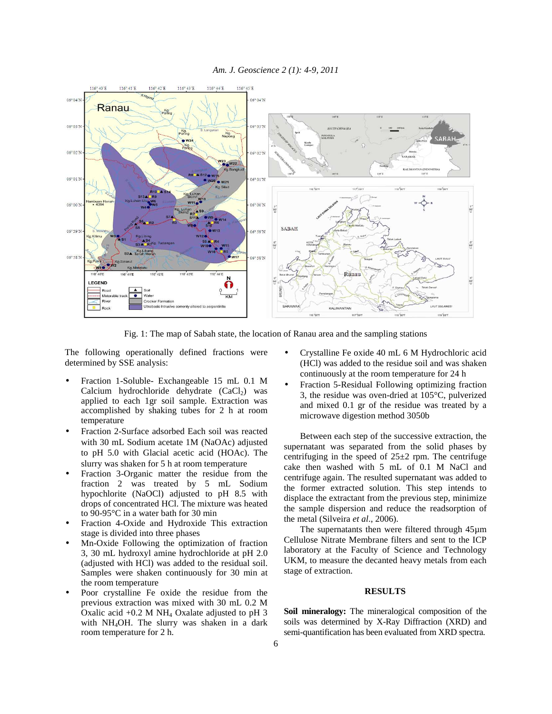

Fig. 1: The map of Sabah state, the location of Ranau area and the sampling stations

The following operationally defined fractions were determined by SSE analysis:

- Fraction 1-Soluble- Exchangeable 15 mL 0.1 M Calcium hydrochloride dehydrate  $(CaCl<sub>2</sub>)$  was applied to each 1gr soil sample. Extraction was accomplished by shaking tubes for 2 h at room temperature
- Fraction 2-Surface adsorbed Each soil was reacted with 30 mL Sodium acetate 1M (NaOAc) adjusted to pH 5.0 with Glacial acetic acid (HOAc). The slurry was shaken for 5 h at room temperature
- Fraction 3-Organic matter the residue from the fraction 2 was treated by 5 mL Sodium hypochlorite (NaOCl) adjusted to pH 8.5 with drops of concentrated HCl. The mixture was heated to 90-95°C in a water bath for 30 min
- Fraction 4-Oxide and Hydroxide This extraction stage is divided into three phases
- Mn-Oxide Following the optimization of fraction 3, 30 mL hydroxyl amine hydrochloride at pH 2.0 (adjusted with HCl) was added to the residual soil. Samples were shaken continuously for 30 min at the room temperature
- Poor crystalline Fe oxide the residue from the previous extraction was mixed with 30 mL 0.2 M Oxalic acid  $+0.2$  M NH<sub>4</sub> Oxalate adjusted to pH 3 with NH<sub>4</sub>OH. The slurry was shaken in a dark room temperature for 2 h.
- Crystalline Fe oxide 40 mL 6 M Hydrochloric acid (HCl) was added to the residue soil and was shaken continuously at the room temperature for 24 h
- Fraction 5-Residual Following optimizing fraction 3, the residue was oven-dried at 105°C, pulverized and mixed 0.1 gr of the residue was treated by a microwave digestion method 3050b

 Between each step of the successive extraction, the supernatant was separated from the solid phases by centrifuging in the speed of  $25\pm2$  rpm. The centrifuge cake then washed with 5 mL of 0.1 M NaCl and centrifuge again. The resulted supernatant was added to the former extracted solution. This step intends to displace the extractant from the previous step, minimize the sample dispersion and reduce the readsorption of the metal (Silveira *et al*., 2006).

 The supernatants then were filtered through 45µm Cellulose Nitrate Membrane filters and sent to the ICP laboratory at the Faculty of Science and Technology UKM, to measure the decanted heavy metals from each stage of extraction.

### **RESULTS**

**Soil mineralogy:** The mineralogical composition of the soils was determined by X-Ray Diffraction (XRD) and semi-quantification has been evaluated from XRD spectra.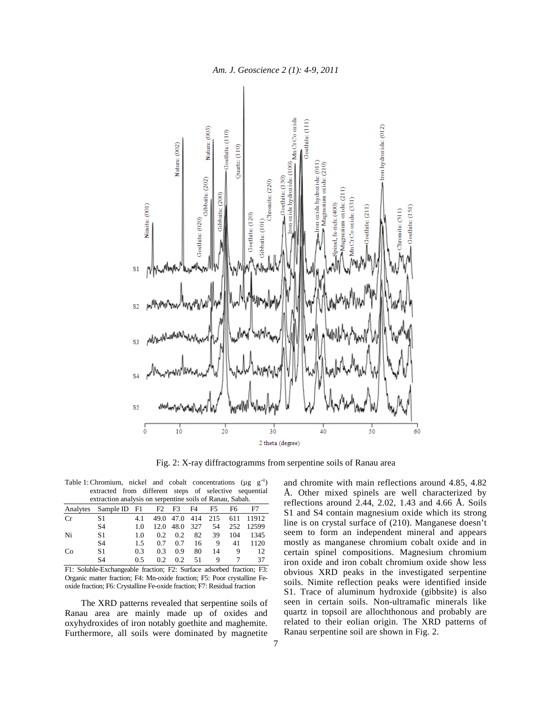



Fig. 2: X-ray diffractogramms from serpentine soils of Ranau area

Table 1: Chromium, nickel and cobalt concentrations ( $\mu g^{-1}$ ) extracted from different steps of selective sequential

| extraction analysis on serpentine soils of Ranau, Sabah. |              |     |      |                |     |     |     |       |
|----------------------------------------------------------|--------------|-----|------|----------------|-----|-----|-----|-------|
| Analytes                                                 | Sample ID F1 |     | F2   | F <sub>3</sub> | F4  | F5  | F6  | F7    |
| Cr                                                       | S1           | 4.1 | 49.0 | 47.0           | 414 | 215 | 611 | 11912 |
|                                                          | S4           | 1.0 | 12.0 | 48.0           | 327 | 54  | 252 | 12599 |
| Ni                                                       | S1           | 1.0 | 0.2  | 0.2            | 82  | 39  | 104 | 1345  |
|                                                          | S4           | 1.5 | 0.7  | 0.7            | 16  | 9   | 41  | 1120  |
| Co                                                       | S1           | 0.3 | 0.3  | 0.9            | 80  | 14  | 9   | 12    |
|                                                          | S4           | 0.5 | 0.2  | 0.2            | 51  | 9   |     | 37    |

F1: Soluble-Exchangeable fraction; F2: Surface adsorbed fraction; F3: Organic matter fraction; F4: Mn-oxide fraction; F5: Poor crystalline Feoxide fraction; F6: Crystalline Fe-oxide fraction; F7: Residual fraction

 The XRD patterns revealed that serpentine soils of Ranau area are mainly made up of oxides and oxyhydroxides of iron notably goethite and maghemite. Furthermore, all soils were dominated by magnetite and chromite with main reflections around 4.85, 4.82 Å. Other mixed spinels are well characterized by reflections around  $2.44$ ,  $2.02$ ,  $1.43$  and  $4.66$  Å. Soils S1 and S4 contain magnesium oxide which its strong line is on crystal surface of (210). Manganese doesn't seem to form an independent mineral and appears mostly as manganese chromium cobalt oxide and in certain spinel compositions. Magnesium chromium iron oxide and iron cobalt chromium oxide show less obvious XRD peaks in the investigated serpentine soils. Nimite reflection peaks were identified inside S1. Trace of aluminum hydroxide (gibbsite) is also seen in certain soils. Non-ultramafic minerals like quartz in topsoil are allochthonous and probably are related to their eolian origin. The XRD patterns of Ranau serpentine soil are shown in Fig. 2.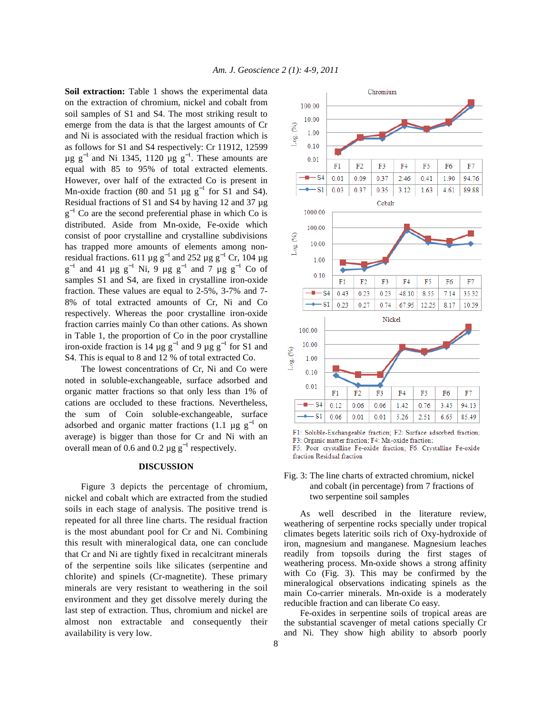Soil extraction: Table 1 shows the experimental data on the extraction of chromium, nickel and cobalt from soil samples of S1 and S4. The most striking result to emerge from the data is that the largest amounts of Cr and Ni is associated with the residual fraction which is as follows for S1 and S4 respectively: Cr 11912, 12599  $\mu$ g g<sup>-1</sup> and Ni 1345, 1120  $\mu$ g g<sup>-1</sup>. These amounts are equal with 85 to 95% of total extracted elements. However, over half of the extracted Co is present in Mn-oxide fraction (80 and 51 µg  $g^{-1}$  for S1 and S4). Residual fractions of S1 and S4 by having 12 and 37 µg  $g^{-1}$  Co are the second preferential phase in which Co is distributed. Aside from Mn-oxide, Fe-oxide which consist of poor crystalline and crystalline subdivisions has trapped more amounts of elements among nonresidual fractions. 611 µg  $g^{-1}$  and 252 µg  $g^{-1}$  Cr, 104 µg  $g^{-1}$  and 41 µg  $g^{-1}$  Ni, 9 µg  $g^{-1}$  and 7 µg  $g^{-1}$  Co of samples S1 and S4, are fixed in crystalline iron-oxide fraction. These values are equal to 2-5%, 3-7% and 7- 8% of total extracted amounts of Cr, Ni and Co respectively. Whereas the poor crystalline iron-oxide fraction carries mainly Co than other cations. As shown in Table 1, the proportion of Co in the poor crystalline iron-oxide fraction is 14  $\mu$ g g<sup>-1</sup> and 9  $\mu$ g g<sup>-1</sup> for S1 and S4. This is equal to 8 and 12 % of total extracted Co.

 The lowest concentrations of Cr, Ni and Co were noted in soluble-exchangeable, surface adsorbed and organic matter fractions so that only less than 1% of cations are occluded to these fractions. Nevertheless, the sum of Coin soluble-exchangeable, surface adsorbed and organic matter fractions (1.1  $\mu$ g g<sup>-1</sup> on average) is bigger than those for Cr and Ni with an overall mean of 0.6 and 0.2  $\mu$ g g<sup>-1</sup> respectively.

## **DISCUSSION**

 Figure 3 depicts the percentage of chromium, nickel and cobalt which are extracted from the studied soils in each stage of analysis. The positive trend is repeated for all three line charts. The residual fraction is the most abundant pool for Cr and Ni. Combining this result with mineralogical data, one can conclude that Cr and Ni are tightly fixed in recalcitrant minerals of the serpentine soils like silicates (serpentine and chlorite) and spinels (Cr-magnetite). These primary minerals are very resistant to weathering in the soil environment and they get dissolve merely during the last step of extraction. Thus, chromium and nickel are almost non extractable and consequently their availability is very low.



F1: Soluble-Exchangeable fraction; F2: Surface adsorbed fraction; F3: Organic matter fraction; F4: Mn-oxide fraction; F5: Poor crystalline Fe-oxide fraction; F6: Crystalline Fe-oxide fraction Residual fraction

# Fig. 3: The line charts of extracted chromium, nickel and cobalt (in percentage) from 7 fractions of two serpentine soil samples

 As well described in the literature review, weathering of serpentine rocks specially under tropical climates begets lateritic soils rich of Oxy-hydroxide of iron, magnesium and manganese. Magnesium leaches readily from topsoils during the first stages of weathering process. Mn-oxide shows a strong affinity with Co (Fig. 3). This may be confirmed by the mineralogical observations indicating spinels as the main Co-carrier minerals. Mn-oxide is a moderately reducible fraction and can liberate Co easy.

 Fe-oxides in serpentine soils of tropical areas are the substantial scavenger of metal cations specially Cr and Ni. They show high ability to absorb poorly